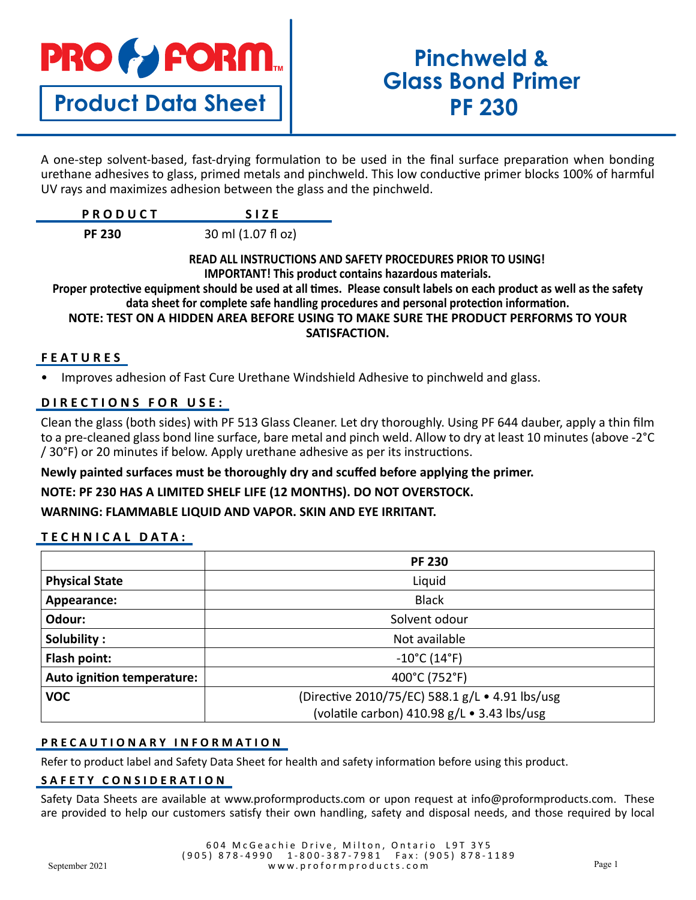# **PRO & FORM.**

# **Product Data Sheet**

# **Pinchweld & Glass Bond Primer PF 230**

A one-step solvent-based, fast-drying formulation to be used in the final surface preparation when bonding urethane adhesives to glass, primed metals and pinchweld. This low conductive primer blocks 100% of harmful UV rays and maximizes adhesion between the glass and the pinchweld.

| PRODUCT |  |
|---------|--|
|         |  |

 **PF 230** 30 ml (1.07 fl oz)

#### **READ ALL INSTRUCTIONS AND SAFETY PROCEDURES PRIOR TO USING! IMPORTANT! This product contains hazardous materials.**

**Proper protective equipment should be used at all times. Please consult labels on each product as well as the safety data sheet for complete safe handling procedures and personal protection information. NOTE: TEST ON A HIDDEN AREA BEFORE USING TO MAKE SURE THE PRODUCT PERFORMS TO YOUR** 

#### **SATISFACTION.**

## **FEATURES**

• Improves adhesion of Fast Cure Urethane Windshield Adhesive to pinchweld and glass.

# **DIRECTIONS FOR USE:**

Clean the glass (both sides) with PF 513 Glass Cleaner. Let dry thoroughly. Using PF 644 dauber, apply a thin film to a pre-cleaned glass bond line surface, bare metal and pinch weld. Allow to dry at least 10 minutes (above -2°C / 30°F) or 20 minutes if below. Apply urethane adhesive as per its instructions.

## **Newly painted surfaces must be thoroughly dry and scuffed before applying the primer.**

# **NOTE: PF 230 HAS A LIMITED SHELF LIFE (12 MONTHS). DO NOT OVERSTOCK.**

**WARNING: FLAMMABLE LIQUID AND VAPOR. SKIN AND EYE IRRITANT.**

# **TECHNICAL DATA:**

|                            | <b>PF 230</b>                                   |
|----------------------------|-------------------------------------------------|
| <b>Physical State</b>      | Liquid                                          |
| Appearance:                | <b>Black</b>                                    |
| Odour:                     | Solvent odour                                   |
| Solubility:                | Not available                                   |
| Flash point:               | $-10^{\circ}$ C (14 $^{\circ}$ F)               |
| Auto ignition temperature: | 400°C (752°F)                                   |
| <b>VOC</b>                 | (Directive 2010/75/EC) 588.1 g/L . 4.91 lbs/usg |
|                            | (volatile carbon) 410.98 g/L . 3.43 lbs/usg     |

## **PRECAUTIONARY INFORMATION**

Refer to product label and Safety Data Sheet for health and safety information before using this product.

#### **SAFETY CONSIDERATION**

Safety Data Sheets are available at www.proformproducts.com or upon request at info@proformproducts.com. These are provided to help our customers satisfy their own handling, safety and disposal needs, and those required by local